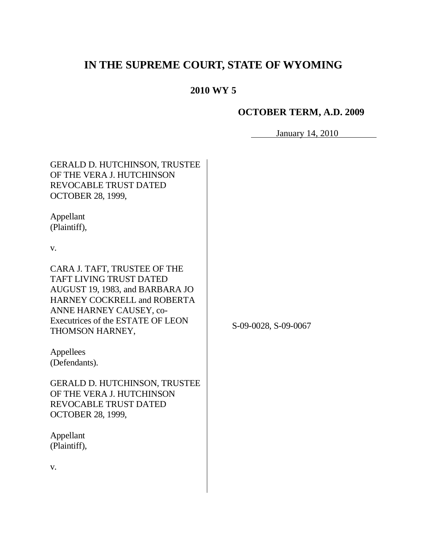# **IN THE SUPREME COURT, STATE OF WYOMING**

## **2010 WY 5**

## **OCTOBER TERM, A.D. 2009**

January 14, 2010

| <b>GERALD D. HUTCHINSON, TRUSTEE</b><br>OF THE VERA J. HUTCHINSON<br><b>REVOCABLE TRUST DATED</b><br><b>OCTOBER 28, 1999,</b>                                                                                              |                      |
|----------------------------------------------------------------------------------------------------------------------------------------------------------------------------------------------------------------------------|----------------------|
| Appellant<br>(Plaintiff),                                                                                                                                                                                                  |                      |
| V.                                                                                                                                                                                                                         |                      |
| CARA J. TAFT, TRUSTEE OF THE<br><b>TAFT LIVING TRUST DATED</b><br>AUGUST 19, 1983, and BARBARA JO<br><b>HARNEY COCKRELL and ROBERTA</b><br>ANNE HARNEY CAUSEY, co-<br>Executrices of the ESTATE OF LEON<br>THOMSON HARNEY, | S-09-0028, S-09-0067 |
| Appellees<br>(Defendants).                                                                                                                                                                                                 |                      |
| <b>GERALD D. HUTCHINSON, TRUSTEE</b><br>OF THE VERA J. HUTCHINSON<br><b>REVOCABLE TRUST DATED</b><br><b>OCTOBER 28, 1999,</b>                                                                                              |                      |
| Appellant<br>(Plaintiff),                                                                                                                                                                                                  |                      |
| V.                                                                                                                                                                                                                         |                      |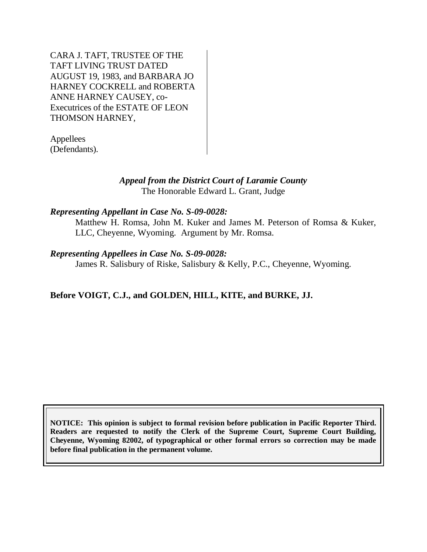CARA J. TAFT, TRUSTEE OF THE TAFT LIVING TRUST DATED AUGUST 19, 1983, and BARBARA JO HARNEY COCKRELL and ROBERTA ANNE HARNEY CAUSEY, co-Executrices of the ESTATE OF LEON THOMSON HARNEY,

Appellees (Defendants).

## *Appeal from the District Court of Laramie County* The Honorable Edward L. Grant, Judge

#### *Representing Appellant in Case No. S-09-0028:*

Matthew H. Romsa, John M. Kuker and James M. Peterson of Romsa & Kuker, LLC, Cheyenne, Wyoming. Argument by Mr. Romsa.

#### *Representing Appellees in Case No. S-09-0028:*

James R. Salisbury of Riske, Salisbury & Kelly, P.C., Cheyenne, Wyoming.

## **Before VOIGT, C.J., and GOLDEN, HILL, KITE, and BURKE, JJ.**

**NOTICE: This opinion is subject to formal revision before publication in Pacific Reporter Third. Readers are requested to notify the Clerk of the Supreme Court, Supreme Court Building, Cheyenne, Wyoming 82002, of typographical or other formal errors so correction may be made before final publication in the permanent volume.**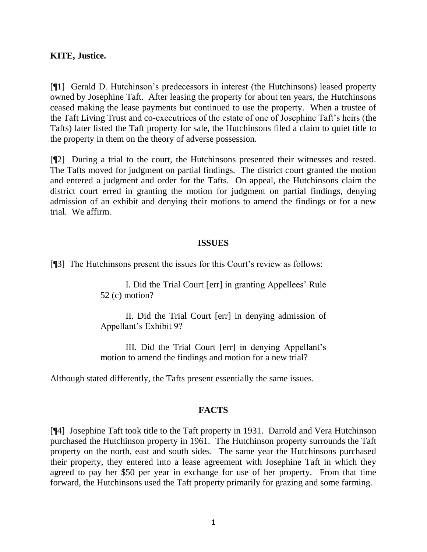#### **KITE, Justice.**

[¶1] Gerald D. Hutchinson's predecessors in interest (the Hutchinsons) leased property owned by Josephine Taft. After leasing the property for about ten years, the Hutchinsons ceased making the lease payments but continued to use the property. When a trustee of the Taft Living Trust and co-executrices of the estate of one of Josephine Taft's heirs (the Tafts) later listed the Taft property for sale, the Hutchinsons filed a claim to quiet title to the property in them on the theory of adverse possession.

[¶2] During a trial to the court, the Hutchinsons presented their witnesses and rested. The Tafts moved for judgment on partial findings. The district court granted the motion and entered a judgment and order for the Tafts. On appeal, the Hutchinsons claim the district court erred in granting the motion for judgment on partial findings, denying admission of an exhibit and denying their motions to amend the findings or for a new trial. We affirm.

#### **ISSUES**

[¶3] The Hutchinsons present the issues for this Court's review as follows:

I. Did the Trial Court [err] in granting Appellees' Rule 52 (c) motion?

II. Did the Trial Court [err] in denying admission of Appellant's Exhibit 9?

III. Did the Trial Court [err] in denying Appellant's motion to amend the findings and motion for a new trial?

Although stated differently, the Tafts present essentially the same issues.

#### **FACTS**

[¶4] Josephine Taft took title to the Taft property in 1931. Darrold and Vera Hutchinson purchased the Hutchinson property in 1961. The Hutchinson property surrounds the Taft property on the north, east and south sides. The same year the Hutchinsons purchased their property, they entered into a lease agreement with Josephine Taft in which they agreed to pay her \$50 per year in exchange for use of her property. From that time forward, the Hutchinsons used the Taft property primarily for grazing and some farming.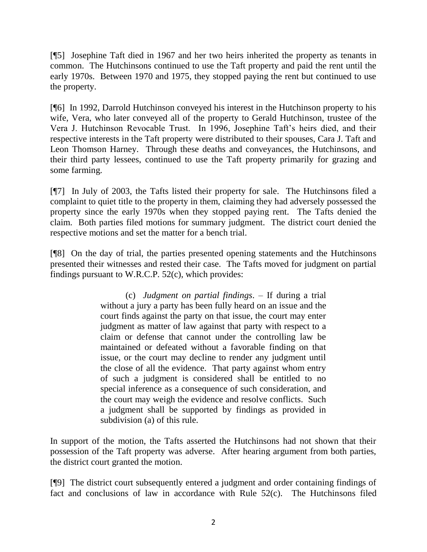[¶5] Josephine Taft died in 1967 and her two heirs inherited the property as tenants in common. The Hutchinsons continued to use the Taft property and paid the rent until the early 1970s. Between 1970 and 1975, they stopped paying the rent but continued to use the property.

[¶6] In 1992, Darrold Hutchinson conveyed his interest in the Hutchinson property to his wife, Vera, who later conveyed all of the property to Gerald Hutchinson, trustee of the Vera J. Hutchinson Revocable Trust. In 1996, Josephine Taft's heirs died, and their respective interests in the Taft property were distributed to their spouses, Cara J. Taft and Leon Thomson Harney. Through these deaths and conveyances, the Hutchinsons, and their third party lessees, continued to use the Taft property primarily for grazing and some farming.

[¶7] In July of 2003, the Tafts listed their property for sale. The Hutchinsons filed a complaint to quiet title to the property in them, claiming they had adversely possessed the property since the early 1970s when they stopped paying rent. The Tafts denied the claim. Both parties filed motions for summary judgment. The district court denied the respective motions and set the matter for a bench trial.

[¶8] On the day of trial, the parties presented opening statements and the Hutchinsons presented their witnesses and rested their case. The Tafts moved for judgment on partial findings pursuant to W.R.C.P. 52(c), which provides:

> (c) *Judgment on partial findings*. – If during a trial without a jury a party has been fully heard on an issue and the court finds against the party on that issue, the court may enter judgment as matter of law against that party with respect to a claim or defense that cannot under the controlling law be maintained or defeated without a favorable finding on that issue, or the court may decline to render any judgment until the close of all the evidence. That party against whom entry of such a judgment is considered shall be entitled to no special inference as a consequence of such consideration, and the court may weigh the evidence and resolve conflicts. Such a judgment shall be supported by findings as provided in subdivision (a) of this rule.

In support of the motion, the Tafts asserted the Hutchinsons had not shown that their possession of the Taft property was adverse. After hearing argument from both parties, the district court granted the motion.

[¶9] The district court subsequently entered a judgment and order containing findings of fact and conclusions of law in accordance with Rule 52(c). The Hutchinsons filed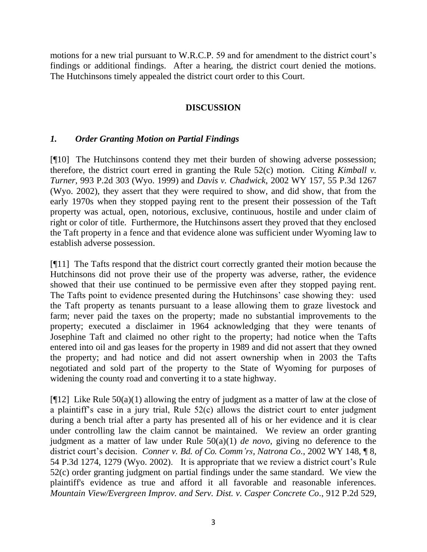motions for a new trial pursuant to W.R.C.P. 59 and for amendment to the district court's findings or additional findings. After a hearing, the district court denied the motions. The Hutchinsons timely appealed the district court order to this Court.

## **DISCUSSION**

## *1. Order Granting Motion on Partial Findings*

[¶10] The Hutchinsons contend they met their burden of showing adverse possession; therefore, the district court erred in granting the Rule 52(c) motion. Citing *Kimball v. Turner*, 993 P.2d 303 (Wyo. 1999) and *Davis v. Chadwick*, 2002 WY 157, 55 P.3d 1267 (Wyo. 2002), they assert that they were required to show, and did show, that from the early 1970s when they stopped paying rent to the present their possession of the Taft property was actual, open, notorious, exclusive, continuous, hostile and under claim of right or color of title. Furthermore, the Hutchinsons assert they proved that they enclosed the Taft property in a fence and that evidence alone was sufficient under Wyoming law to establish adverse possession.

[¶11] The Tafts respond that the district court correctly granted their motion because the Hutchinsons did not prove their use of the property was adverse, rather, the evidence showed that their use continued to be permissive even after they stopped paying rent. The Tafts point to evidence presented during the Hutchinsons' case showing they: used the Taft property as tenants pursuant to a lease allowing them to graze livestock and farm; never paid the taxes on the property; made no substantial improvements to the property; executed a disclaimer in 1964 acknowledging that they were tenants of Josephine Taft and claimed no other right to the property; had notice when the Tafts entered into oil and gas leases for the property in 1989 and did not assert that they owned the property; and had notice and did not assert ownership when in 2003 the Tafts negotiated and sold part of the property to the State of Wyoming for purposes of widening the county road and converting it to a state highway.

[ $[12]$ ] Like Rule 50(a)(1) allowing the entry of judgment as a matter of law at the close of a plaintiff's case in a jury trial, Rule 52(c) allows the district court to enter judgment during a bench trial after a party has presented all of his or her evidence and it is clear under controlling law the claim cannot be maintained. We review an order granting judgment as a matter of law under Rule 50(a)(1) *de novo*, giving no deference to the district court's decision. *Conner v. Bd. of Co. Comm'rs, Natrona Co*., 2002 WY 148, ¶ 8, 54 P.3d 1274, 1279 (Wyo. 2002). It is appropriate that we review a district court's Rule 52(c) order granting judgment on partial findings under the same standard. We view the plaintiff's evidence as true and afford it all favorable and reasonable inferences. *Mountain View/Evergreen Improv. and Serv. Dist. v. Casper Concrete Co*., 912 P.2d 529,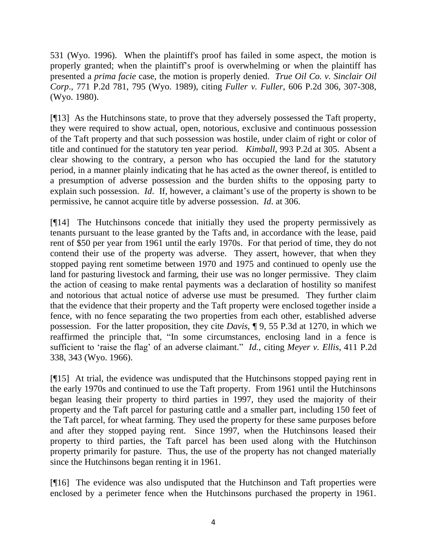531 (Wyo. 1996). When the plaintiff's proof has failed in some aspect, the motion is properly granted; when the plaintiff's proof is overwhelming or when the plaintiff has presented a *prima facie* case, the motion is properly denied. *True Oil Co. v. Sinclair Oil Corp*., 771 P.2d 781, 795 (Wyo. 1989), citing *Fuller v. Fuller*, 606 P.2d 306, 307-308, (Wyo. 1980).

[¶13] As the Hutchinsons state, to prove that they adversely possessed the Taft property, they were required to show actual, open, notorious, exclusive and continuous possession of the Taft property and that such possession was hostile, under claim of right or color of title and continued for the statutory ten year period. *Kimball*, 993 P.2d at 305. Absent a clear showing to the contrary, a person who has occupied the land for the statutory period, in a manner plainly indicating that he has acted as the owner thereof, is entitled to a presumption of adverse possession and the burden shifts to the opposing party to explain such possession. *Id*. If, however, a claimant's use of the property is shown to be permissive, he cannot acquire title by adverse possession. *Id*. at 306.

[¶14] The Hutchinsons concede that initially they used the property permissively as tenants pursuant to the lease granted by the Tafts and, in accordance with the lease, paid rent of \$50 per year from 1961 until the early 1970s. For that period of time, they do not contend their use of the property was adverse. They assert, however, that when they stopped paying rent sometime between 1970 and 1975 and continued to openly use the land for pasturing livestock and farming, their use was no longer permissive. They claim the action of ceasing to make rental payments was a declaration of hostility so manifest and notorious that actual notice of adverse use must be presumed. They further claim that the evidence that their property and the Taft property were enclosed together inside a fence, with no fence separating the two properties from each other, established adverse possession. For the latter proposition, they cite *Davis*, ¶ 9, 55 P.3d at 1270, in which we reaffirmed the principle that, "In some circumstances, enclosing land in a fence is sufficient to 'raise the flag' of an adverse claimant." *Id.*, citing *Meyer v. Ellis*, 411 P.2d 338, 343 (Wyo. 1966).

[¶15] At trial, the evidence was undisputed that the Hutchinsons stopped paying rent in the early 1970s and continued to use the Taft property. From 1961 until the Hutchinsons began leasing their property to third parties in 1997, they used the majority of their property and the Taft parcel for pasturing cattle and a smaller part, including 150 feet of the Taft parcel, for wheat farming. They used the property for these same purposes before and after they stopped paying rent. Since 1997, when the Hutchinsons leased their property to third parties, the Taft parcel has been used along with the Hutchinson property primarily for pasture. Thus, the use of the property has not changed materially since the Hutchinsons began renting it in 1961.

[¶16] The evidence was also undisputed that the Hutchinson and Taft properties were enclosed by a perimeter fence when the Hutchinsons purchased the property in 1961.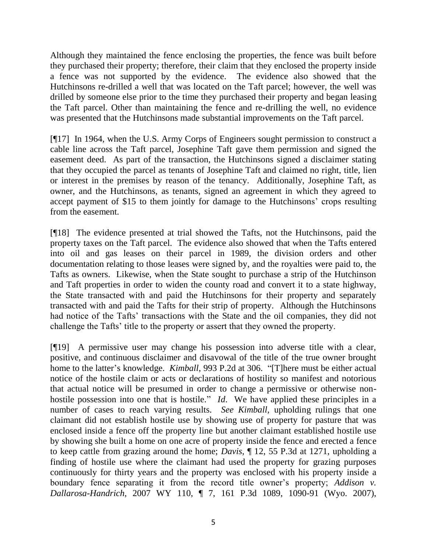Although they maintained the fence enclosing the properties, the fence was built before they purchased their property; therefore, their claim that they enclosed the property inside a fence was not supported by the evidence. The evidence also showed that the Hutchinsons re-drilled a well that was located on the Taft parcel; however, the well was drilled by someone else prior to the time they purchased their property and began leasing the Taft parcel. Other than maintaining the fence and re-drilling the well, no evidence was presented that the Hutchinsons made substantial improvements on the Taft parcel.

[¶17] In 1964, when the U.S. Army Corps of Engineers sought permission to construct a cable line across the Taft parcel, Josephine Taft gave them permission and signed the easement deed. As part of the transaction, the Hutchinsons signed a disclaimer stating that they occupied the parcel as tenants of Josephine Taft and claimed no right, title, lien or interest in the premises by reason of the tenancy. Additionally, Josephine Taft, as owner, and the Hutchinsons, as tenants, signed an agreement in which they agreed to accept payment of \$15 to them jointly for damage to the Hutchinsons' crops resulting from the easement.

[¶18] The evidence presented at trial showed the Tafts, not the Hutchinsons, paid the property taxes on the Taft parcel. The evidence also showed that when the Tafts entered into oil and gas leases on their parcel in 1989, the division orders and other documentation relating to those leases were signed by, and the royalties were paid to, the Tafts as owners. Likewise, when the State sought to purchase a strip of the Hutchinson and Taft properties in order to widen the county road and convert it to a state highway, the State transacted with and paid the Hutchinsons for their property and separately transacted with and paid the Tafts for their strip of property. Although the Hutchinsons had notice of the Tafts' transactions with the State and the oil companies, they did not challenge the Tafts' title to the property or assert that they owned the property.

[¶19] A permissive user may change his possession into adverse title with a clear, positive, and continuous disclaimer and disavowal of the title of the true owner brought home to the latter's knowledge. *Kimball*, 993 P.2d at 306. "[T]here must be either actual notice of the hostile claim or acts or declarations of hostility so manifest and notorious that actual notice will be presumed in order to change a permissive or otherwise nonhostile possession into one that is hostile." *Id*. We have applied these principles in a number of cases to reach varying results. *See Kimball,* upholding rulings that one claimant did not establish hostile use by showing use of property for pasture that was enclosed inside a fence off the property line but another claimant established hostile use by showing she built a home on one acre of property inside the fence and erected a fence to keep cattle from grazing around the home; *Davis*, ¶ 12, 55 P.3d at 1271, upholding a finding of hostile use where the claimant had used the property for grazing purposes continuously for thirty years and the property was enclosed with his property inside a boundary fence separating it from the record title owner's property; *Addison v. Dallarosa-Handrich*, 2007 WY 110, ¶ 7, 161 P.3d 1089, 1090-91 (Wyo. 2007),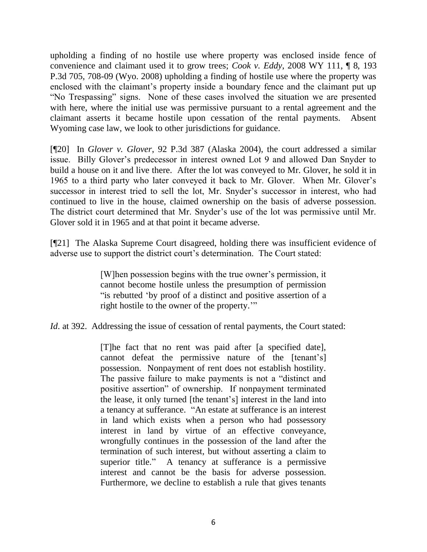upholding a finding of no hostile use where property was enclosed inside fence of convenience and claimant used it to grow trees; *Cook v. Eddy*, 2008 WY 111, ¶ 8, 193 P.3d 705, 708-09 (Wyo. 2008) upholding a finding of hostile use where the property was enclosed with the claimant's property inside a boundary fence and the claimant put up "No Trespassing" signs. None of these cases involved the situation we are presented with here, where the initial use was permissive pursuant to a rental agreement and the claimant asserts it became hostile upon cessation of the rental payments. Absent Wyoming case law, we look to other jurisdictions for guidance.

[¶20] In *Glover v. Glover*, 92 P.3d 387 (Alaska 2004), the court addressed a similar issue. Billy Glover's predecessor in interest owned Lot 9 and allowed Dan Snyder to build a house on it and live there. After the lot was conveyed to Mr. Glover, he sold it in 1965 to a third party who later conveyed it back to Mr. Glover. When Mr. Glover's successor in interest tried to sell the lot, Mr. Snyder's successor in interest, who had continued to live in the house, claimed ownership on the basis of adverse possession. The district court determined that Mr. Snyder's use of the lot was permissive until Mr. Glover sold it in 1965 and at that point it became adverse.

[¶21] The Alaska Supreme Court disagreed, holding there was insufficient evidence of adverse use to support the district court's determination. The Court stated:

> [W]hen possession begins with the true owner's permission, it cannot become hostile unless the presumption of permission ―is rebutted ‗by proof of a distinct and positive assertion of a right hostile to the owner of the property."

*Id.* at 392. Addressing the issue of cessation of rental payments, the Court stated:

[T]he fact that no rent was paid after [a specified date], cannot defeat the permissive nature of the [tenant's] possession. Nonpayment of rent does not establish hostility. The passive failure to make payments is not a "distinct and positive assertion" of ownership. If nonpayment terminated the lease, it only turned [the tenant's] interest in the land into a tenancy at sufferance. "An estate at sufferance is an interest in land which exists when a person who had possessory interest in land by virtue of an effective conveyance, wrongfully continues in the possession of the land after the termination of such interest, but without asserting a claim to superior title." A tenancy at sufferance is a permissive interest and cannot be the basis for adverse possession. Furthermore, we decline to establish a rule that gives tenants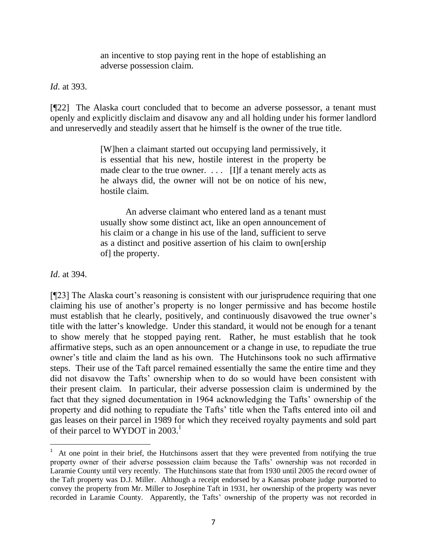an incentive to stop paying rent in the hope of establishing an adverse possession claim.

## *Id*. at 393.

[¶22] The Alaska court concluded that to become an adverse possessor, a tenant must openly and explicitly disclaim and disavow any and all holding under his former landlord and unreservedly and steadily assert that he himself is the owner of the true title.

> [W]hen a claimant started out occupying land permissively, it is essential that his new, hostile interest in the property be made clear to the true owner. . . . [I]f a tenant merely acts as he always did, the owner will not be on notice of his new, hostile claim.

> An adverse claimant who entered land as a tenant must usually show some distinct act, like an open announcement of his claim or a change in his use of the land, sufficient to serve as a distinct and positive assertion of his claim to own[ership of] the property.

## *Id*. at 394.

 $\overline{a}$ 

[¶23] The Alaska court's reasoning is consistent with our jurisprudence requiring that one claiming his use of another's property is no longer permissive and has become hostile must establish that he clearly, positively, and continuously disavowed the true owner's title with the latter's knowledge. Under this standard, it would not be enough for a tenant to show merely that he stopped paying rent. Rather, he must establish that he took affirmative steps, such as an open announcement or a change in use, to repudiate the true owner's title and claim the land as his own. The Hutchinsons took no such affirmative steps. Their use of the Taft parcel remained essentially the same the entire time and they did not disavow the Tafts' ownership when to do so would have been consistent with their present claim. In particular, their adverse possession claim is undermined by the fact that they signed documentation in 1964 acknowledging the Tafts' ownership of the property and did nothing to repudiate the Tafts' title when the Tafts entered into oil and gas leases on their parcel in 1989 for which they received royalty payments and sold part of their parcel to WYDOT in  $2003$ <sup>1</sup>

 $1$  At one point in their brief, the Hutchinsons assert that they were prevented from notifying the true property owner of their adverse possession claim because the Tafts' ownership was not recorded in Laramie County until very recently. The Hutchinsons state that from 1930 until 2005 the record owner of the Taft property was D.J. Miller. Although a receipt endorsed by a Kansas probate judge purported to convey the property from Mr. Miller to Josephine Taft in 1931, her ownership of the property was never recorded in Laramie County. Apparently, the Tafts' ownership of the property was not recorded in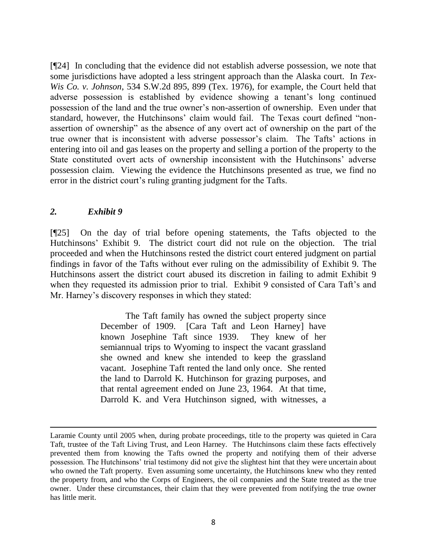[¶24] In concluding that the evidence did not establish adverse possession, we note that some jurisdictions have adopted a less stringent approach than the Alaska court. In *Tex-Wis Co. v. Johnson*, 534 S.W.2d 895, 899 (Tex. 1976), for example, the Court held that adverse possession is established by evidence showing a tenant's long continued possession of the land and the true owner's non-assertion of ownership. Even under that standard, however, the Hutchinsons' claim would fail. The Texas court defined "nonassertion of ownership" as the absence of any overt act of ownership on the part of the true owner that is inconsistent with adverse possessor's claim. The Tafts' actions in entering into oil and gas leases on the property and selling a portion of the property to the State constituted overt acts of ownership inconsistent with the Hutchinsons' adverse possession claim. Viewing the evidence the Hutchinsons presented as true, we find no error in the district court's ruling granting judgment for the Tafts.

## *2. Exhibit 9*

 $\overline{a}$ 

[¶25] On the day of trial before opening statements, the Tafts objected to the Hutchinsons' Exhibit 9. The district court did not rule on the objection. The trial proceeded and when the Hutchinsons rested the district court entered judgment on partial findings in favor of the Tafts without ever ruling on the admissibility of Exhibit 9. The Hutchinsons assert the district court abused its discretion in failing to admit Exhibit 9 when they requested its admission prior to trial. Exhibit 9 consisted of Cara Taft's and Mr. Harney's discovery responses in which they stated:

> The Taft family has owned the subject property since December of 1909. [Cara Taft and Leon Harney] have known Josephine Taft since 1939. They knew of her semiannual trips to Wyoming to inspect the vacant grassland she owned and knew she intended to keep the grassland vacant. Josephine Taft rented the land only once. She rented the land to Darrold K. Hutchinson for grazing purposes, and that rental agreement ended on June 23, 1964. At that time, Darrold K. and Vera Hutchinson signed, with witnesses, a

Laramie County until 2005 when, during probate proceedings, title to the property was quieted in Cara Taft, trustee of the Taft Living Trust, and Leon Harney. The Hutchinsons claim these facts effectively prevented them from knowing the Tafts owned the property and notifying them of their adverse possession. The Hutchinsons' trial testimony did not give the slightest hint that they were uncertain about who owned the Taft property. Even assuming some uncertainty, the Hutchinsons knew who they rented the property from, and who the Corps of Engineers, the oil companies and the State treated as the true owner. Under these circumstances, their claim that they were prevented from notifying the true owner has little merit.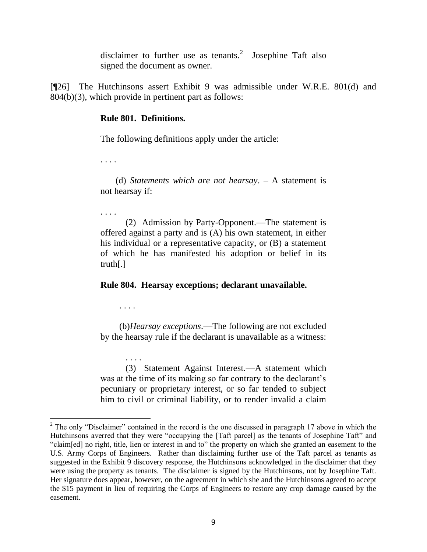disclaimer to further use as tenants.<sup>2</sup> Josephine Taft also signed the document as owner.

[¶26] The Hutchinsons assert Exhibit 9 was admissible under W.R.E. 801(d) and 804(b)(3), which provide in pertinent part as follows:

#### **Rule 801. Definitions.**

The following definitions apply under the article:

. . . .

(d) *Statements which are not hearsay*. – A statement is not hearsay if:

. . . .

(2) Admission by Party-Opponent.—The statement is offered against a party and is (A) his own statement, in either his individual or a representative capacity, or (B) a statement of which he has manifested his adoption or belief in its truth[.]

**Rule 804. Hearsay exceptions; declarant unavailable.**

. . . .

. . . .

 $\overline{a}$ 

(b)*Hearsay exceptions*.—The following are not excluded by the hearsay rule if the declarant is unavailable as a witness:

(3) Statement Against Interest.—A statement which was at the time of its making so far contrary to the declarant's pecuniary or proprietary interest, or so far tended to subject him to civil or criminal liability, or to render invalid a claim

 $2$  The only "Disclaimer" contained in the record is the one discussed in paragraph 17 above in which the Hutchinsons averred that they were "occupying the [Taft parcel] as the tenants of Josephine Taft" and "claim[ed] no right, title, lien or interest in and to" the property on which she granted an easement to the U.S. Army Corps of Engineers. Rather than disclaiming further use of the Taft parcel as tenants as suggested in the Exhibit 9 discovery response, the Hutchinsons acknowledged in the disclaimer that they were using the property as tenants. The disclaimer is signed by the Hutchinsons, not by Josephine Taft. Her signature does appear, however, on the agreement in which she and the Hutchinsons agreed to accept the \$15 payment in lieu of requiring the Corps of Engineers to restore any crop damage caused by the easement.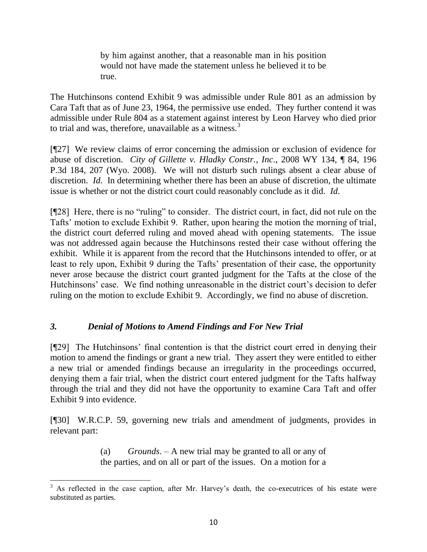by him against another, that a reasonable man in his position would not have made the statement unless he believed it to be true.

The Hutchinsons contend Exhibit 9 was admissible under Rule 801 as an admission by Cara Taft that as of June 23, 1964, the permissive use ended. They further contend it was admissible under Rule 804 as a statement against interest by Leon Harvey who died prior to trial and was, therefore, unavailable as a witness. $3$ 

[¶27] We review claims of error concerning the admission or exclusion of evidence for abuse of discretion. *City of Gillette v. Hladky Constr., Inc*., 2008 WY 134, ¶ 84, 196 P.3d 184, 207 (Wyo. 2008). We will not disturb such rulings absent a clear abuse of discretion. *Id*. In determining whether there has been an abuse of discretion, the ultimate issue is whether or not the district court could reasonably conclude as it did. *Id*.

[¶28] Here, there is no "ruling" to consider. The district court, in fact, did not rule on the Tafts' motion to exclude Exhibit 9. Rather, upon hearing the motion the morning of trial, the district court deferred ruling and moved ahead with opening statements. The issue was not addressed again because the Hutchinsons rested their case without offering the exhibit. While it is apparent from the record that the Hutchinsons intended to offer, or at least to rely upon, Exhibit 9 during the Tafts' presentation of their case, the opportunity never arose because the district court granted judgment for the Tafts at the close of the Hutchinsons' case. We find nothing unreasonable in the district court's decision to defer ruling on the motion to exclude Exhibit 9. Accordingly, we find no abuse of discretion.

## *3. Denial of Motions to Amend Findings and For New Trial*

[¶29] The Hutchinsons' final contention is that the district court erred in denying their motion to amend the findings or grant a new trial. They assert they were entitled to either a new trial or amended findings because an irregularity in the proceedings occurred, denying them a fair trial, when the district court entered judgment for the Tafts halfway through the trial and they did not have the opportunity to examine Cara Taft and offer Exhibit 9 into evidence.

[¶30] W.R.C.P. 59, governing new trials and amendment of judgments, provides in relevant part:

> (a) *Grounds*. – A new trial may be granted to all or any of the parties, and on all or part of the issues. On a motion for a

 $\overline{a}$  $3$  As reflected in the case caption, after Mr. Harvey's death, the co-executrices of his estate were substituted as parties.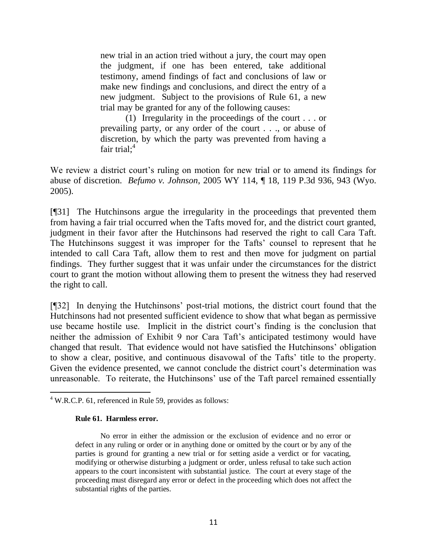new trial in an action tried without a jury, the court may open the judgment, if one has been entered, take additional testimony, amend findings of fact and conclusions of law or make new findings and conclusions, and direct the entry of a new judgment. Subject to the provisions of Rule 61, a new trial may be granted for any of the following causes:

(1) Irregularity in the proceedings of the court . . . or prevailing party, or any order of the court . . ., or abuse of discretion, by which the party was prevented from having a fair trial; $4$ 

We review a district court's ruling on motion for new trial or to amend its findings for abuse of discretion. *Befumo v. Johnson*, 2005 WY 114, ¶ 18, 119 P.3d 936, 943 (Wyo. 2005).

[¶31] The Hutchinsons argue the irregularity in the proceedings that prevented them from having a fair trial occurred when the Tafts moved for, and the district court granted, judgment in their favor after the Hutchinsons had reserved the right to call Cara Taft. The Hutchinsons suggest it was improper for the Tafts' counsel to represent that he intended to call Cara Taft, allow them to rest and then move for judgment on partial findings. They further suggest that it was unfair under the circumstances for the district court to grant the motion without allowing them to present the witness they had reserved the right to call.

[¶32] In denying the Hutchinsons' post-trial motions, the district court found that the Hutchinsons had not presented sufficient evidence to show that what began as permissive use became hostile use. Implicit in the district court's finding is the conclusion that neither the admission of Exhibit 9 nor Cara Taft's anticipated testimony would have changed that result. That evidence would not have satisfied the Hutchinsons' obligation to show a clear, positive, and continuous disavowal of the Tafts' title to the property. Given the evidence presented, we cannot conclude the district court's determination was unreasonable. To reiterate, the Hutchinsons' use of the Taft parcel remained essentially

#### **Rule 61. Harmless error.**

No error in either the admission or the exclusion of evidence and no error or defect in any ruling or order or in anything done or omitted by the court or by any of the parties is ground for granting a new trial or for setting aside a verdict or for vacating, modifying or otherwise disturbing a judgment or order, unless refusal to take such action appears to the court inconsistent with substantial justice. The court at every stage of the proceeding must disregard any error or defect in the proceeding which does not affect the substantial rights of the parties.

 $\overline{a}$  $4$  W.R.C.P. 61, referenced in Rule 59, provides as follows: